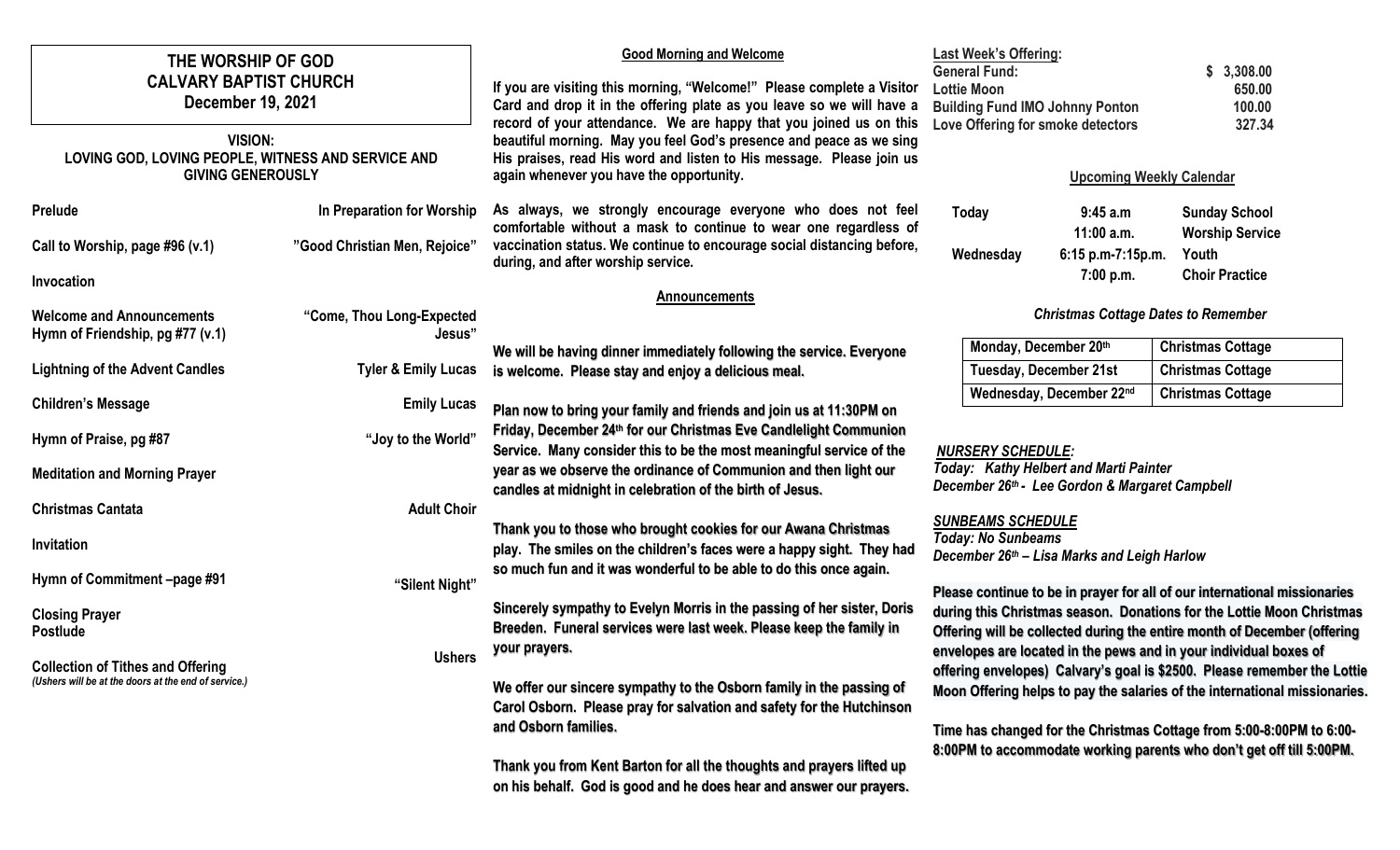| THE WORSHIP OF GOD<br><b>CALVARY BAPTIST CHURCH</b><br>December 19, 2021<br><b>VISION:</b><br>LOVING GOD, LOVING PEOPLE, WITNESS AND SERVICE AND |                                     | <b>Good Morning and Welcome</b><br>If you are visiting this morning, "Welcome!" Please complete a Visitor<br>Card and drop it in the offering plate as you leave so we will have a<br>record of your attendance. We are happy that you joined us on this<br>beautiful morning. May you feel God's presence and peace as we sing<br>His praises, read His word and listen to His message. Please join us<br>again whenever you have the opportunity. | <b>Last Week's Offering:</b><br><b>General Fund:</b><br><b>Lottie Moon</b><br><b>Building Fund IMO Johnny Ponton</b><br>Love Offering for smoke detectors                                                                                                                                                                                                                   |                                                                                          | \$3,308.00<br>650.00<br>100.00<br>327.34             |
|--------------------------------------------------------------------------------------------------------------------------------------------------|-------------------------------------|-----------------------------------------------------------------------------------------------------------------------------------------------------------------------------------------------------------------------------------------------------------------------------------------------------------------------------------------------------------------------------------------------------------------------------------------------------|-----------------------------------------------------------------------------------------------------------------------------------------------------------------------------------------------------------------------------------------------------------------------------------------------------------------------------------------------------------------------------|------------------------------------------------------------------------------------------|------------------------------------------------------|
| <b>GIVING GENEROUSLY</b>                                                                                                                         |                                     |                                                                                                                                                                                                                                                                                                                                                                                                                                                     | <b>Upcoming Weekly Calendar</b>                                                                                                                                                                                                                                                                                                                                             |                                                                                          |                                                      |
| Prelude                                                                                                                                          | In Preparation for Worship          | As always, we strongly encourage everyone who does not feel<br>comfortable without a mask to continue to wear one regardless of                                                                                                                                                                                                                                                                                                                     | Today                                                                                                                                                                                                                                                                                                                                                                       | 9:45 a.m                                                                                 | <b>Sunday School</b>                                 |
| Call to Worship, page #96 (v.1)                                                                                                                  | "Good Christian Men, Rejoice"       | vaccination status. We continue to encourage social distancing before,<br>during, and after worship service.                                                                                                                                                                                                                                                                                                                                        | Wednesday                                                                                                                                                                                                                                                                                                                                                                   | 11:00 a.m.<br>6:15 p.m-7:15p.m.                                                          | <b>Worship Service</b><br>Youth                      |
| Invocation                                                                                                                                       |                                     |                                                                                                                                                                                                                                                                                                                                                                                                                                                     |                                                                                                                                                                                                                                                                                                                                                                             | 7:00 p.m.                                                                                | <b>Choir Practice</b>                                |
| <b>Welcome and Announcements</b><br>Hymn of Friendship, pg #77 (v.1)                                                                             | "Come, Thou Long-Expected<br>Jesus" | <b>Announcements</b><br><b>Christmas Cottage Dates to Remember</b>                                                                                                                                                                                                                                                                                                                                                                                  |                                                                                                                                                                                                                                                                                                                                                                             |                                                                                          |                                                      |
| <b>Lightning of the Advent Candles</b>                                                                                                           | <b>Tyler &amp; Emily Lucas</b>      | We will be having dinner immediately following the service. Everyone<br>is welcome. Please stay and enjoy a delicious meal.                                                                                                                                                                                                                                                                                                                         | Monday, December 20th                                                                                                                                                                                                                                                                                                                                                       | <b>Tuesday, December 21st</b>                                                            | <b>Christmas Cottage</b><br><b>Christmas Cottage</b> |
| <b>Children's Message</b>                                                                                                                        | <b>Emily Lucas</b>                  | Plan now to bring your family and friends and join us at 11:30PM on                                                                                                                                                                                                                                                                                                                                                                                 |                                                                                                                                                                                                                                                                                                                                                                             | Wednesday, December 22nd                                                                 | <b>Christmas Cottage</b>                             |
| Hymn of Praise, pg #87                                                                                                                           | "Joy to the World"                  | Friday, December 24th for our Christmas Eve Candlelight Communion<br>Service. Many consider this to be the most meaningful service of the                                                                                                                                                                                                                                                                                                           | <b>NURSERY SCHEDULE:</b>                                                                                                                                                                                                                                                                                                                                                    |                                                                                          |                                                      |
| <b>Meditation and Morning Prayer</b>                                                                                                             |                                     | year as we observe the ordinance of Communion and then light our<br>candles at midnight in celebration of the birth of Jesus.                                                                                                                                                                                                                                                                                                                       |                                                                                                                                                                                                                                                                                                                                                                             | Today: Kathy Helbert and Marti Painter<br>December 26th - Lee Gordon & Margaret Campbell |                                                      |
| <b>Christmas Cantata</b>                                                                                                                         | <b>Adult Choir</b>                  |                                                                                                                                                                                                                                                                                                                                                                                                                                                     |                                                                                                                                                                                                                                                                                                                                                                             |                                                                                          |                                                      |
| Invitation                                                                                                                                       |                                     | Thank you to those who brought cookies for our Awana Christmas<br>play. The smiles on the children's faces were a happy sight. They had                                                                                                                                                                                                                                                                                                             | <b>SUNBEAMS SCHEDULE</b><br><b>Today: No Sunbeams</b><br>December 26th - Lisa Marks and Leigh Harlow<br>Please continue to be in prayer for all of our international missionaries                                                                                                                                                                                           |                                                                                          |                                                      |
| Hymn of Commitment -page #91                                                                                                                     | "Silent Night"                      | so much fun and it was wonderful to be able to do this once again.                                                                                                                                                                                                                                                                                                                                                                                  |                                                                                                                                                                                                                                                                                                                                                                             |                                                                                          |                                                      |
| <b>Closing Prayer</b><br><b>Postlude</b>                                                                                                         |                                     | Sincerely sympathy to Evelyn Morris in the passing of her sister, Doris<br>during this Christmas season. Donations for the Lottie Moon Christmas<br>Breeden. Funeral services were last week. Please keep the family in<br>Offering will be collected during the entire month of December (offering                                                                                                                                                 |                                                                                                                                                                                                                                                                                                                                                                             |                                                                                          |                                                      |
| <b>Collection of Tithes and Offering</b><br>(Ushers will be at the doors at the end of service.)                                                 | <b>Ushers</b>                       | your prayers.<br>We offer our sincere sympathy to the Osborn family in the passing of<br>Carol Osborn. Please pray for salvation and safety for the Hutchinson<br>and Osborn families.                                                                                                                                                                                                                                                              | envelopes are located in the pews and in your individual boxes of<br>offering envelopes) Calvary's goal is \$2500. Please remember the Lottie<br>Moon Offering helps to pay the salaries of the international missionaries.<br>Time has changed for the Christmas Cottage from 5:00-8:00PM to 6:00-<br>8:00PM to accommodate working parents who don't get off till 5:00PM. |                                                                                          |                                                      |
|                                                                                                                                                  |                                     | Thank you from Kent Barton for all the thoughts and prayers lifted up                                                                                                                                                                                                                                                                                                                                                                               |                                                                                                                                                                                                                                                                                                                                                                             |                                                                                          |                                                      |

**on his behalf. God is good and he does hear and answer our prayers.**